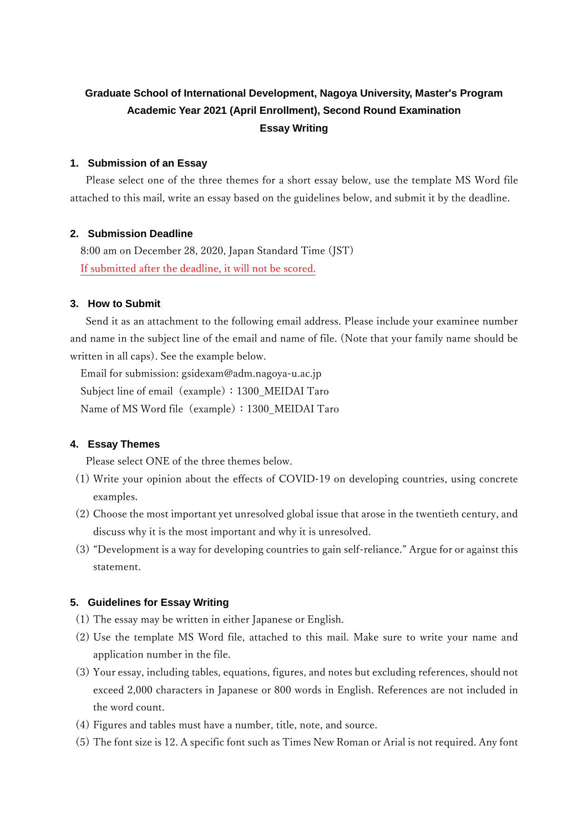# **Graduate School of International Development, Nagoya University, Master's Program Academic Year 2021 (April Enrollment), Second Round Examination Essay Writing**

#### **1. Submission of an Essay**

 Please select one of the three themes for a short essay below, use the template MS Word file attached to this mail, write an essay based on the guidelines below, and submit it by the deadline.

#### **2. Submission Deadline**

8:00 am on December 28, 2020, Japan Standard Time (JST) If submitted after the deadline, it will not be scored.

# **3. How to Submit**

 Send it as an attachment to the following email address. Please include your examinee number and name in the subject line of the email and name of file. (Note that your family name should be written in all caps). See the example below.

Email for submission: gsidexam@adm.nagoya-u.ac.jp Subject line of email (example): 1300\_MEIDAI Taro Name of MS Word file (example): 1300\_MEIDAI Taro

#### **4. Essay Themes**

Please select ONE of the three themes below.

- (1) Write your opinion about the effects of COVID-19 on developing countries, using concrete examples.
- (2) Choose the most important yet unresolved global issue that arose in the twentieth century, and discuss why it is the most important and why it is unresolved.
- (3) "Development is a way for developing countries to gain self-reliance." Argue for or against this statement.

#### **5. Guidelines for Essay Writing**

- (1) The essay may be written in either Japanese or English.
- (2) Use the template MS Word file, attached to this mail. Make sure to write your name and application number in the file.
- (3) Your essay, including tables, equations, figures, and notes but excluding references, should not exceed 2,000 characters in Japanese or 800 words in English. References are not included in the word count.
- (4) Figures and tables must have a number, title, note, and source.
- (5) The font size is 12. A specific font such as Times New Roman or Arial is not required. Any font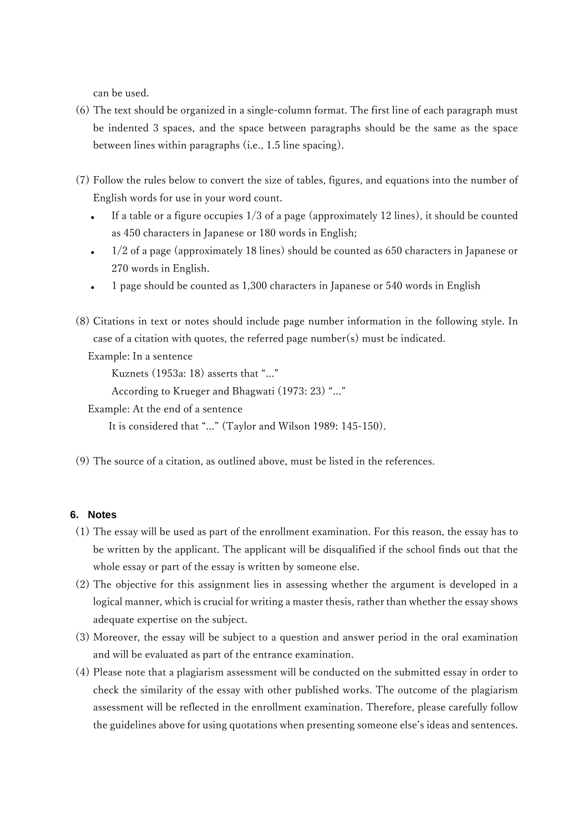can be used.

- (6) The text should be organized in a single-column format. The first line of each paragraph must be indented 3 spaces, and the space between paragraphs should be the same as the space between lines within paragraphs (i.e., 1.5 line spacing).
- (7) Follow the rules below to convert the size of tables, figures, and equations into the number of English words for use in your word count.
	- If a table or a figure occupies 1/3 of a page (approximately 12 lines), it should be counted as 450 characters in Japanese or 180 words in English;
	- 1/2 of a page (approximately 18 lines) should be counted as 650 characters in Japanese or 270 words in English.
	- 1 page should be counted as 1,300 characters in Japanese or 540 words in English
- (8) Citations in text or notes should include page number information in the following style. In case of a citation with quotes, the referred page number(s) must be indicated.

Example: In a sentence

Kuznets (1953a: 18) asserts that "..."

According to Krueger and Bhagwati (1973: 23) "..."

Example: At the end of a sentence

It is considered that "..." (Taylor and Wilson 1989: 145-150).

(9) The source of a citation, as outlined above, must be listed in the references.

# **6. Notes**

- (1) The essay will be used as part of the enrollment examination. For this reason, the essay has to be written by the applicant. The applicant will be disqualified if the school finds out that the whole essay or part of the essay is written by someone else.
- (2) The objective for this assignment lies in assessing whether the argument is developed in a logical manner, which is crucial for writing a master thesis, rather than whether the essay shows adequate expertise on the subject.
- (3) Moreover, the essay will be subject to a question and answer period in the oral examination and will be evaluated as part of the entrance examination.
- (4) Please note that a plagiarism assessment will be conducted on the submitted essay in order to check the similarity of the essay with other published works. The outcome of the plagiarism assessment will be reflected in the enrollment examination. Therefore, please carefully follow the guidelines above for using quotations when presenting someone else's ideas and sentences.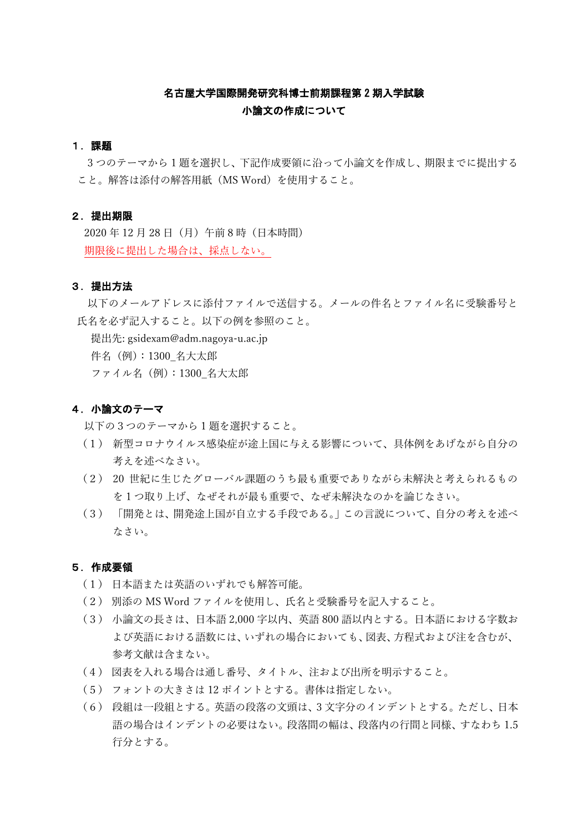# 名古屋大学国際開発研究科博士前期課程第 2 期入学試験 小論文の作成について

#### 1.課題

3 つのテーマから 1 題を選択し、下記作成要領に沿って小論文を作成し、期限までに提出する こと。解答は添付の解答用紙(MS Word)を使用すること。

# 2.提出期限

2020 年 12 月 28 日(月)午前 8 時(日本時間) 期限後に提出した場合は、採点しない。

#### 3.提出方法

以下のメールアドレスに添付ファイルで送信する。メールの件名とファイル名に受験番号と 氏名を必ず記入すること。以下の例を参照のこと。

提出先: gsidexam@adm.nagoya-u.ac.jp

件名(例):1300\_名大太郎

ファイル名(例):1300\_名大太郎

#### 4.小論文のテーマ

以下の3つのテーマから 1 題を選択すること。

- (1) 新型コロナウイルス感染症が途上国に与える影響について、具体例をあげながら自分の 考えを述べなさい。
- (2) 20 世紀に生じたグローバル課題のうち最も重要でありながら未解決と考えられるもの を 1 つ取り上げ、なぜそれが最も重要で、なぜ未解決なのかを論じなさい。
- (3) 「開発とは、開発途上国が自立する手段である。」この言説について、自分の考えを述べ なさい。

#### 5.作成要領

- (1) 日本語または英語のいずれでも解答可能。
- (2) 別添の MS Word ファイルを使用し、氏名と受験番号を記入すること。
- (3) 小論文の長さは、日本語 2,000 字以内、英語 800 語以内とする。日本語における字数お よび英語における語数には、いずれの場合においても、図表、方程式および注を含むが、 参考文献は含まない。
- (4) 図表を入れる場合は通し番号、タイトル、注および出所を明示すること。
- (5) フォントの大きさは 12 ポイントとする。書体は指定しない。
- (6) 段組は一段組とする。英語の段落の文頭は、3 文字分のインデントとする。ただし、日本 語の場合はインデントの必要はない。段落間の幅は、段落内の行間と同様、すなわち 1.5 行分とする。